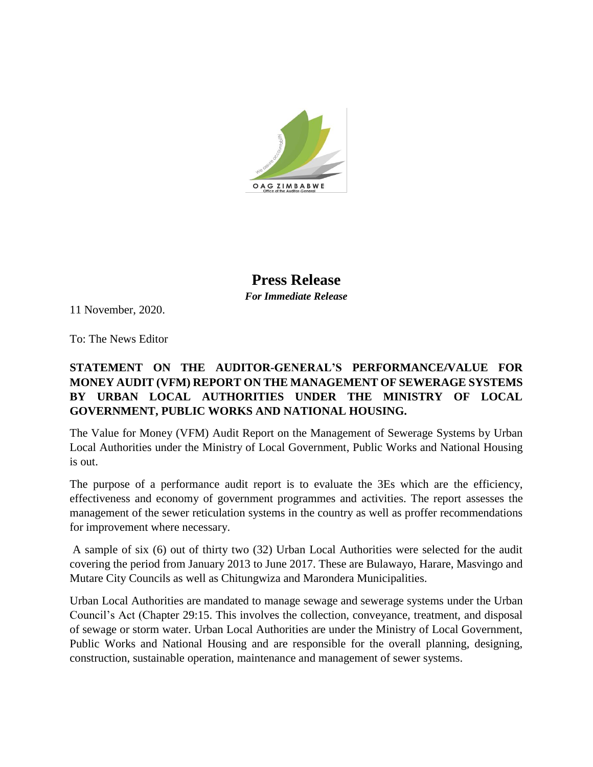

**Press Release** *For Immediate Release*

11 November, 2020.

To: The News Editor

## **STATEMENT ON THE AUDITOR-GENERAL'S PERFORMANCE/VALUE FOR MONEY AUDIT (VFM) REPORT ON THE MANAGEMENT OF SEWERAGE SYSTEMS BY URBAN LOCAL AUTHORITIES UNDER THE MINISTRY OF LOCAL GOVERNMENT, PUBLIC WORKS AND NATIONAL HOUSING.**

The Value for Money (VFM) Audit Report on the Management of Sewerage Systems by Urban Local Authorities under the Ministry of Local Government, Public Works and National Housing is out.

The purpose of a performance audit report is to evaluate the 3Es which are the efficiency, effectiveness and economy of government programmes and activities. The report assesses the management of the sewer reticulation systems in the country as well as proffer recommendations for improvement where necessary.

A sample of six (6) out of thirty two (32) Urban Local Authorities were selected for the audit covering the period from January 2013 to June 2017. These are Bulawayo, Harare, Masvingo and Mutare City Councils as well as Chitungwiza and Marondera Municipalities.

Urban Local Authorities are mandated to manage sewage and sewerage systems under the Urban Council's Act (Chapter 29:15. This involves the collection, conveyance, treatment, and disposal of sewage or storm water. Urban Local Authorities are under the Ministry of Local Government, Public Works and National Housing and are responsible for the overall planning, designing, construction, sustainable operation, maintenance and management of sewer systems.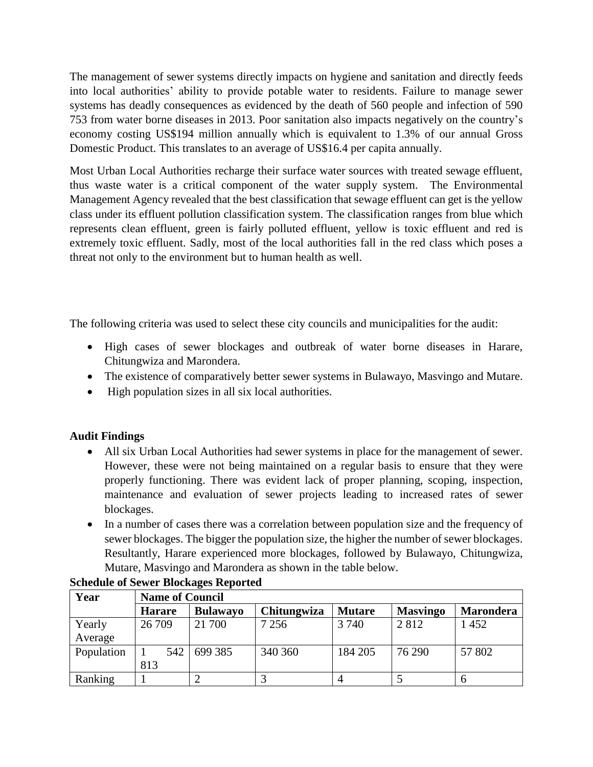The management of sewer systems directly impacts on hygiene and sanitation and directly feeds into local authorities' ability to provide potable water to residents. Failure to manage sewer systems has deadly consequences as evidenced by the death of 560 people and infection of 590 753 from water borne diseases in 2013. Poor sanitation also impacts negatively on the country's economy costing US\$194 million annually which is equivalent to 1.3% of our annual Gross Domestic Product. This translates to an average of US\$16.4 per capita annually.

Most Urban Local Authorities recharge their surface water sources with treated sewage effluent, thus waste water is a critical component of the water supply system. The Environmental Management Agency revealed that the best classification that sewage effluent can get is the yellow class under its effluent pollution classification system. The classification ranges from blue which represents clean effluent, green is fairly polluted effluent, yellow is toxic effluent and red is extremely toxic effluent. Sadly, most of the local authorities fall in the red class which poses a threat not only to the environment but to human health as well.

The following criteria was used to select these city councils and municipalities for the audit:

- High cases of sewer blockages and outbreak of water borne diseases in Harare, Chitungwiza and Marondera.
- The existence of comparatively better sewer systems in Bulawayo, Masvingo and Mutare.
- High population sizes in all six local authorities.

## **Audit Findings**

- All six Urban Local Authorities had sewer systems in place for the management of sewer. However, these were not being maintained on a regular basis to ensure that they were properly functioning. There was evident lack of proper planning, scoping, inspection, maintenance and evaluation of sewer projects leading to increased rates of sewer blockages.
- In a number of cases there was a correlation between population size and the frequency of sewer blockages. The bigger the population size, the higher the number of sewer blockages. Resultantly, Harare experienced more blockages, followed by Bulawayo, Chitungwiza, Mutare, Masvingo and Marondera as shown in the table below.

| Year       | <b>Name of Council</b> |                 |             |               |                 |                  |
|------------|------------------------|-----------------|-------------|---------------|-----------------|------------------|
|            | <b>Harare</b>          | <b>Bulawayo</b> | Chitungwiza | <b>Mutare</b> | <b>Masvingo</b> | <b>Marondera</b> |
| Yearly     | 26 709                 | 21 700          | 7 2 5 6     | 3 7 4 0       | 2812            | 1452             |
| Average    |                        |                 |             |               |                 |                  |
| Population | 542                    | 699 385         | 340 360     | 184 205       | 76 290          | 57 802           |
|            | 813                    |                 |             |               |                 |                  |
| Ranking    |                        |                 |             |               |                 |                  |

## **Schedule of Sewer Blockages Reported**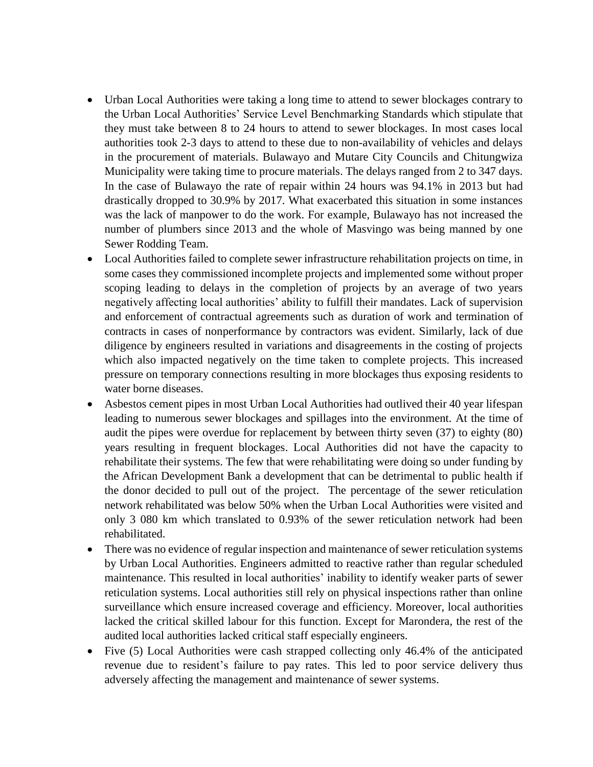- Urban Local Authorities were taking a long time to attend to sewer blockages contrary to the Urban Local Authorities' Service Level Benchmarking Standards which stipulate that they must take between 8 to 24 hours to attend to sewer blockages. In most cases local authorities took 2-3 days to attend to these due to non-availability of vehicles and delays in the procurement of materials. Bulawayo and Mutare City Councils and Chitungwiza Municipality were taking time to procure materials. The delays ranged from 2 to 347 days. In the case of Bulawayo the rate of repair within 24 hours was 94.1% in 2013 but had drastically dropped to 30.9% by 2017. What exacerbated this situation in some instances was the lack of manpower to do the work. For example, Bulawayo has not increased the number of plumbers since 2013 and the whole of Masvingo was being manned by one Sewer Rodding Team.
- Local Authorities failed to complete sewer infrastructure rehabilitation projects on time, in some cases they commissioned incomplete projects and implemented some without proper scoping leading to delays in the completion of projects by an average of two years negatively affecting local authorities' ability to fulfill their mandates. Lack of supervision and enforcement of contractual agreements such as duration of work and termination of contracts in cases of nonperformance by contractors was evident. Similarly, lack of due diligence by engineers resulted in variations and disagreements in the costing of projects which also impacted negatively on the time taken to complete projects. This increased pressure on temporary connections resulting in more blockages thus exposing residents to water borne diseases.
- Asbestos cement pipes in most Urban Local Authorities had outlived their 40 year lifespan leading to numerous sewer blockages and spillages into the environment. At the time of audit the pipes were overdue for replacement by between thirty seven (37) to eighty (80) years resulting in frequent blockages. Local Authorities did not have the capacity to rehabilitate their systems. The few that were rehabilitating were doing so under funding by the African Development Bank a development that can be detrimental to public health if the donor decided to pull out of the project. The percentage of the sewer reticulation network rehabilitated was below 50% when the Urban Local Authorities were visited and only 3 080 km which translated to 0.93% of the sewer reticulation network had been rehabilitated.
- There was no evidence of regular inspection and maintenance of sewer reticulation systems by Urban Local Authorities. Engineers admitted to reactive rather than regular scheduled maintenance. This resulted in local authorities' inability to identify weaker parts of sewer reticulation systems. Local authorities still rely on physical inspections rather than online surveillance which ensure increased coverage and efficiency. Moreover, local authorities lacked the critical skilled labour for this function. Except for Marondera, the rest of the audited local authorities lacked critical staff especially engineers.
- Five (5) Local Authorities were cash strapped collecting only 46.4% of the anticipated revenue due to resident's failure to pay rates. This led to poor service delivery thus adversely affecting the management and maintenance of sewer systems.